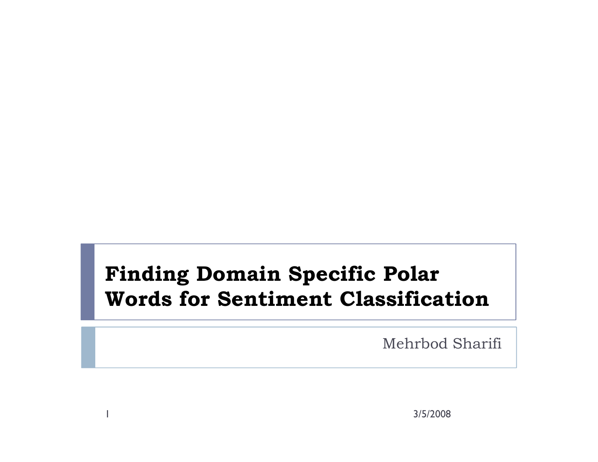#### Finding Domain Specific Polar Words for Sentiment Classification

Mehrbod Sharifi

3/5/2008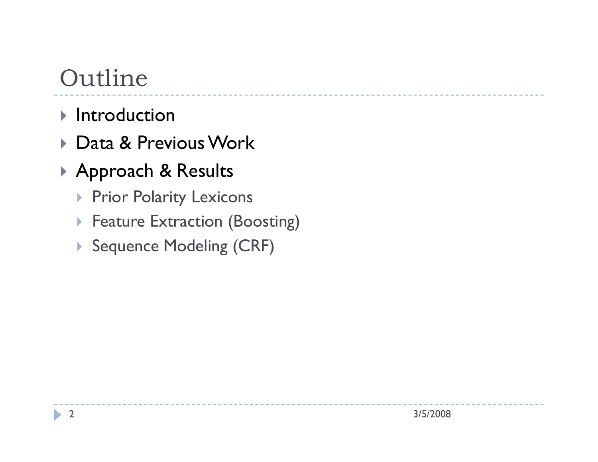# Outline

- $\blacktriangleright$  Introduction
- Data & Previous Work
- Approach & Results
	- ▶ Prior Polarity Lexicons
	- **Feature Extraction (Boosting)**
	- ▶ Sequence Modeling (CRF)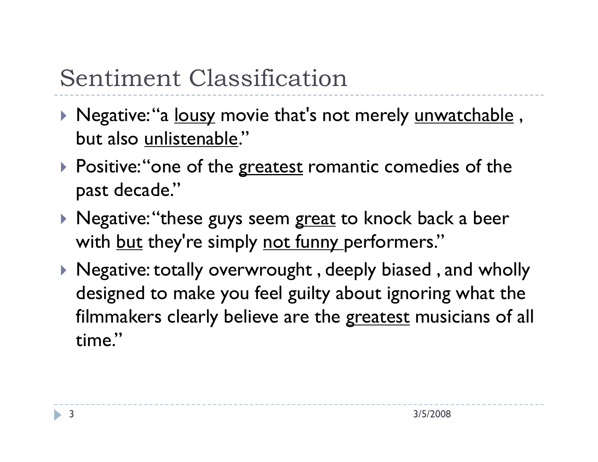# Sentiment Classification

- ▶ Negative:"a <u>lousy</u> movie that's not merely <u>unwatchable</u> , but also unlistenable."
- $\blacktriangleright$  Positive: "one of the greatest romantic comedies of the past decade."
- $\blacktriangleright$  Negative:"these guys seem <u>great</u> to knock back a beer with <u>but</u> they're simply <u>not funny p</u>erformers."
- $\blacktriangleright$  Negative: totally overwrought , deeply biased , and wholly  $\blacktriangleright$ designed to make you feel guilty about ignoring what the filmmakers clearly believe are the <u>greatest</u> musicians of all time."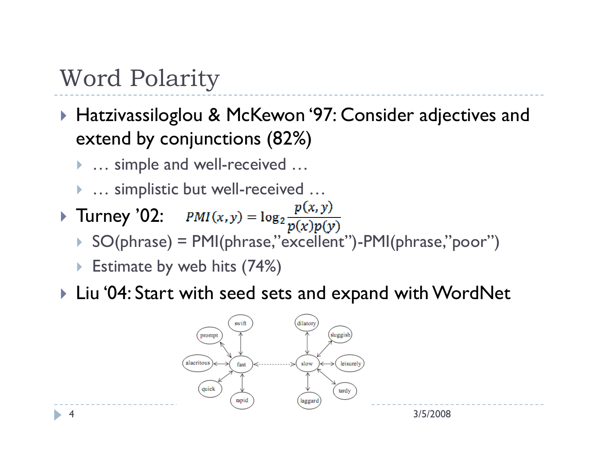#### Word Polarity

- ▶ Hatzivassiloglou & McKewon '97: Consider adjectives and<br>extend by conjunctions (82%) extend by conjunctions (82%)
	- ▶ … simple and well-received ...
	- ▶ … simplistic but well-received ...
- Turney '02:  $PMI(x, y) = \log_2 \frac{P(x)}{p(x)}$ 
	- SO(phrase) = PMI(phrase,"excellent")-PMI(phrase,"poor")
	- ▶ Estimate by web hits (74%)
- Liu '04: Start with seed sets and expand with WordNet

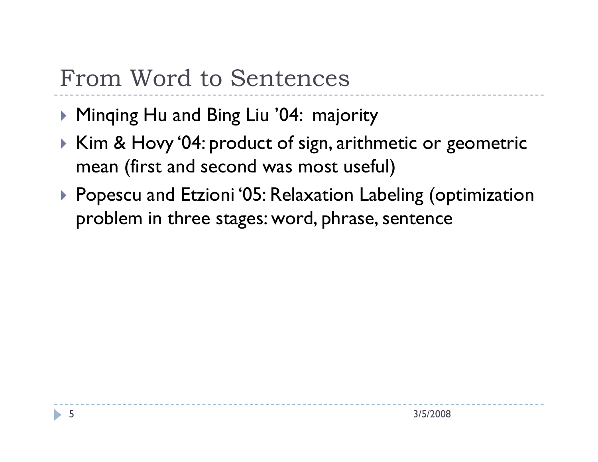### From Word to Sentences

- Minqing Hu and Bing Liu '04: majority<br>■ Kim & HarratO4: market of sign anithm
- $\triangleright$  Kim & Hovy '04: product of sign, arithmetic or geometric<br>mean (first and second was most useful) mean (first and second was most useful)
- ▶ Popescu and Etzioni '05: Relaxation Labeling (optimization<br>Problem in three stages: word phrase sentence problem in three stages: word, phrase, sentence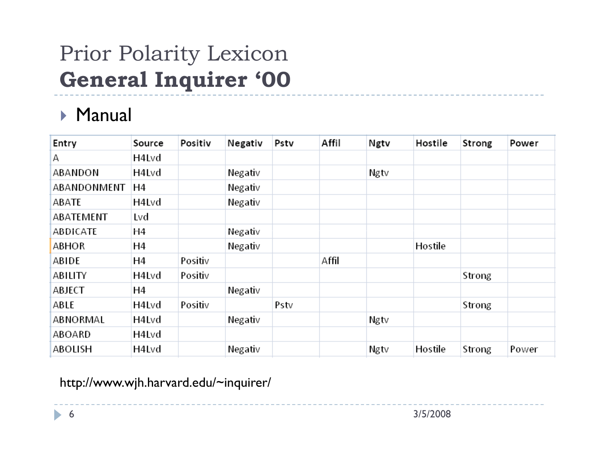# Prior Polarity LexiconGeneral Inquirer '00

#### Manual

| Entry       | Source | Positiv | Negativ | Pstv | Affil | Ngtv | Hostile | Strong | Power |
|-------------|--------|---------|---------|------|-------|------|---------|--------|-------|
| Α           | H4Lvd  |         |         |      |       |      |         |        |       |
| ABANDON     | H4Lvd  |         | Negativ |      |       | Ngtv |         |        |       |
| ABANDONMENT | Η4     |         | Negativ |      |       |      |         |        |       |
| ABATE       | H4Lvd  |         | Negativ |      |       |      |         |        |       |
| ABATEMENT   | Lvd    |         |         |      |       |      |         |        |       |
| ABDICATE    | Η4     |         | Negativ |      |       |      |         |        |       |
| ABHOR       | Η4     |         | Negativ |      |       |      | Hostile |        |       |
| ABIDE       | Н4     | Positiv |         |      | Affil |      |         |        |       |
| ABILITY     | H4Lvd  | Positiv |         |      |       |      |         | Strong |       |
| ABJECT      | H4     |         | Negativ |      |       |      |         |        |       |
| ABLE        | H4Lvd  | Positiv |         | Pstv |       |      |         | Strong |       |
| ABNORMAL    | H4Lvd  |         | Negativ |      |       | Ngtv |         |        |       |
| ABOARD      | H4Lvd  |         |         |      |       |      |         |        |       |
| ABOLISH     | H4Lvd  |         | Negativ |      |       | Ngtv | Hostile | Strong | Power |

http://www.wjh.harvard.edu/~inquirer/

3/5/2008

6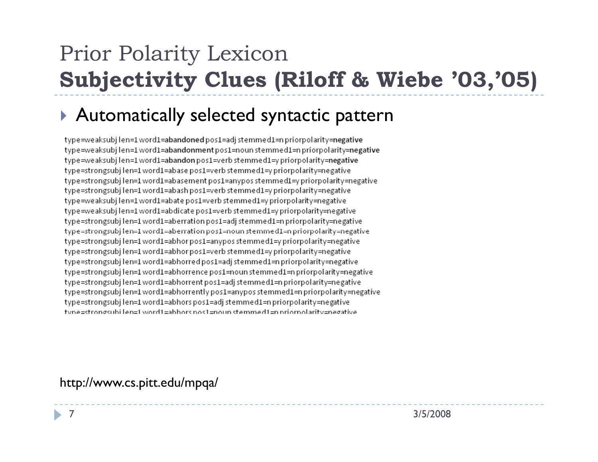# Prior Polarity LexiconSubjectivity Clues (Riloff & Wiebe '03,'05)

#### Automatically selected syntactic pattern

type=weaksubjlen=1word1=abandonedpos1=adjstemmed1=npriorpolarity=negative type=weaksubjlen=1word1=abandonmentpos1=noun stemmed1=n priorpolarity=negative type=weaksubjlen=1word1=abandon pos1=verb stemmed1=y priorpolarity=negative type=strongsubjlen=1word1=abase pos1=verb stemmed1=y priorpolarity=negative type=strongsubjlen=1word1=abasement pos1=anypos stemmed1=y priorpolarity=negative type=strongsubj len=1 word1=abash pos1=verb stemmed1=y priorpolarity=negative type=weaksubjlen=1word1=abate pos1=verb stemmed1=y priorpolarity=negative type=weaksubjlen=1word1=abdicate pos1=verb stemmed1=y priorpolarity=negative type=strongsubjlen=1word1=aberration pos1=adj stemmed1=n priorpolarity=negative type=strongsubjlen=1 word1=aberration pos1=noun stemmed1=n priorpolarity=negative type=strongsubj len=1 word1=abhor pos1=anypos stemmed1=y priorpolarity=negative type=strongsubjlen=1word1=abhorpos1=verb stemmed1=ypriorpolarity=negative type=strongsubjlen=1word1=abhorredpos1=adjstemmed1=npriorpolarity=negative type=strongsubj len=1 word1=abhorrence pos1=noun stemmed1=n priorpolarity=negative type=strongsubjlen=1word1=abhorrent pos1=adj stemmed1=n priorpolarity=negative type=strongsubjlen=1word1=abhorrentlypos1=anypos stemmed1=n priorpolarity=negative type=strongsubj len=1 word1=abhors pos1=adj stemmed1=n priorpolarity=negative type=strongsubilen=1 word1=abbors pos1=poun stemmed1=p priorpolarity=pegative

#### http://www.cs.pitt.edu/mpqa/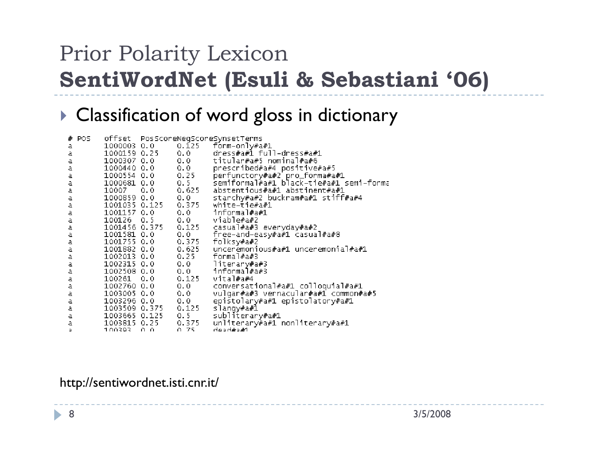# Prior Polarity LexiconSentiWordNet (Esuli & Sebastiani '06)

#### $\blacktriangleright$  Classification of word gloss in dictionary

|   | # POS |                     |     |                     | offset PosScoreNegScoreSynsetTerms                                            |
|---|-------|---------------------|-----|---------------------|-------------------------------------------------------------------------------|
| а |       |                     |     |                     | 1000003 0.0 0.125 form-only#a#1                                               |
| а |       |                     |     | 1000159 0.25 0.0    | dress#a#1 full-dress#a#1                                                      |
| а |       | 1000307 0.0         |     | 0.0                 | titular#a#5 nominal#a#6                                                       |
| а |       | 1000440 0.0         |     | 0.0                 | prescribed#a#4 positive#a#5                                                   |
| а |       | 1000554 0.0         |     | 0.25                |                                                                               |
| а |       | 1000681 0.0         |     | 0.5                 | .<br>perfunctory#a#2`pro_forma#a#1<br>semiformal#a#1 black=tie#a#1 semi=forma |
| а |       | 10007 0.0           |     | 0.625               | abstentious#a#1 abstinent#a#1                                                 |
| а |       | 1000859 0.0         |     | 0.0                 | starchy#a#2 buckram#a#1 stiff#a#4                                             |
| а |       |                     |     | 1001035 0.125 0.375 | white-tie#a#1                                                                 |
| а |       | 1001157 0.0         |     | 0.0                 | informal#a#1                                                                  |
| а |       | 100126 0.5          |     |                     | 0.0 viable#a#2                                                                |
| а |       |                     |     |                     |                                                                               |
| а |       |                     |     |                     | free-and-easy#a#1 casual#a#8                                                  |
| а |       | 1001755 0.0         |     | 0.375               | folksy#a#2                                                                    |
| а |       | 1001882 0.0         |     | 0.625               | unceremonious#a#1 unceremonial#a#1                                            |
| а |       | 1002013 0.0         |     | $0.25 -$            | formal#a#3                                                                    |
| а |       | 1002315 0.0         |     |                     | 0.0 literary#a#3                                                              |
| а |       | 1002508 0.0         |     |                     | 0.0 informal#a#3                                                              |
| а |       | 100261 0.0          |     | 0.125               | vital#a#4                                                                     |
| а |       | 1002760 0.0         |     | 0.0                 | conversational#a#1 colloquial#a#1                                             |
| а |       | 1003005 0.0         |     | 0.0                 | vulgar#a#3 vernacular#a#1 common#a#5                                          |
| а |       | 1003296 0.0         |     | 0.0                 | epistolary#a#1 epistolatory#a#1                                               |
| а |       | 1003509 0.375 0.125 |     |                     | slangy#a#1                                                                    |
| а |       | 1003665 0.125 0.5   |     |                     | subliterary#a#1                                                               |
| а |       | 1003815 0.25        |     | 0.375               | unliterary#a#1 nonliterary#a#1                                                |
| ٠ |       | 100393              | റ റ | A 75                | 1#د#ام دعاہ                                                                   |

#### http://sentiwordnet.isti.cnr.it/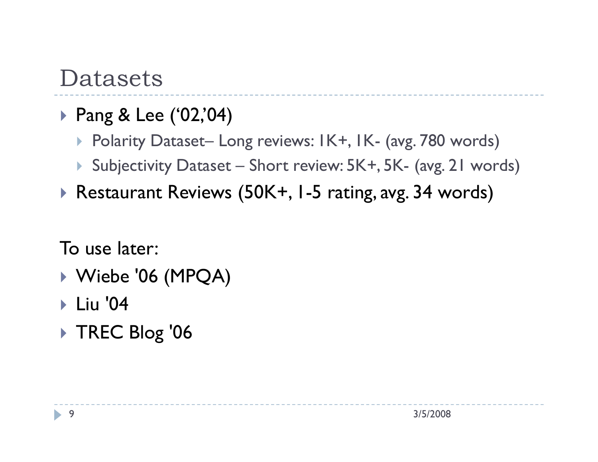#### Datasets

- Pang & Lee ('02,'04)
	- Polarity Dataset– Long reviews: 1K+, 1K- (avg. 780 words)
	- Subjectivity Dataset Short review: 5K+, 5K- (avg. 21 words)
- Restaurant Reviews (50K+, 1-5 rating, avg. 34 words)

To use later:

- ▶ Wiebe '06 (MPQA)<br>、Liss '04
- **▶ Liu '04**
- TREC Blog '06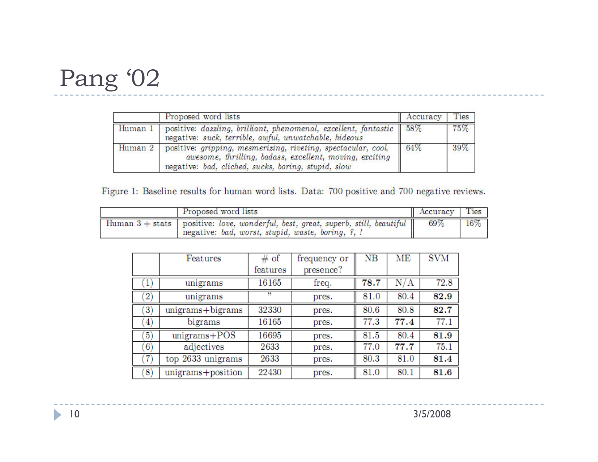## Pang '02

|         | Proposed word lists                                                                                                                                                             | Accuracy | Ties   |
|---------|---------------------------------------------------------------------------------------------------------------------------------------------------------------------------------|----------|--------|
| Human 1 | positive: dazzling, brilliant, phenomenal, excellent, fantastic 58%<br>negative: suck, terrible, awful, unwatchable, hideous                                                    |          | $75\%$ |
| Human 2 | positive: gripping, mesmerizing, riveting, spectacular, cool,<br>awesome, thrilling, badass, excellent, moving, exciting<br>negative: bad, cliched, sucks, boring, stupid, slow | 64%      | 39%    |

Figure 1: Baseline results for human word lists. Data: 700 positive and 700 negative reviews.

|  | Accuracy Ties                                                                                                                           |     |     |
|--|-----------------------------------------------------------------------------------------------------------------------------------------|-----|-----|
|  | Human $3 +$ stats positive: love, wonderful, best, great, superb, still, beautiful<br>negative: bad, worst, stupid, waste, boring, ?, ! | 69% | 16% |

|                   | Features             | # of     | frequency or | NB   | MЕ     | <b>SVM</b> |
|-------------------|----------------------|----------|--------------|------|--------|------------|
|                   |                      | features | presence?    |      |        |            |
|                   | unigrams             | 16165    | freq.        | 78.7 | N<br>А | 72.8       |
| $\left( 2\right)$ | unigrams             | 77       | pres.        | 81.0 | 80.4   | 82.9       |
| 3)                | $unigrams + bigrams$ | 32330    | pres.        | 80.6 | 80.8   | 82.7       |
| 4)                | bigrams              | 16165    | pres.        | 77.3 | 77.4   | 77.1       |
| $\vert 5 \rangle$ | $unigrams + POS$     | 16695    | pres.        | 81.5 | 80.4   | 81.9       |
| $\vert 6\rangle$  | adjectives           | 2633     | pres.        | 77.0 | 77.7   | 75.1       |
| 7                 | top 2633 unigrams    | 2633     | pres.        | 80.3 | 81.0   | 81.4       |
| 8                 | unigrams+position    | 22430    | pres.        | 81.0 | 80.1   | 81.6       |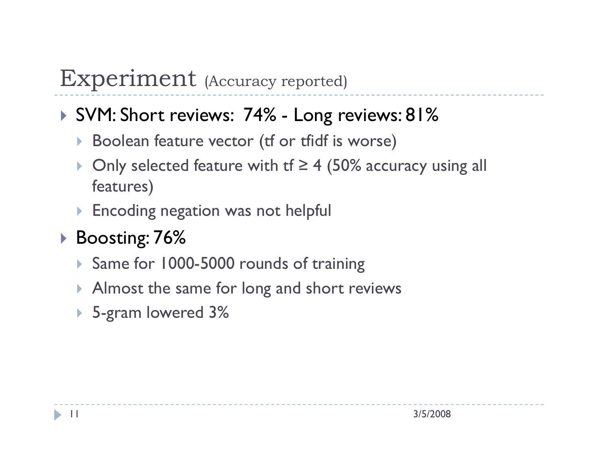#### Experiment (Accuracy reported)

# SVM: Short reviews: 74% - Long reviews: 81%<br>Realesp feature vector (tf or tfidf is warse)

- Boolean feature vector (tf or tfidf is worse)
- $\blacktriangleright$ Only selected feature with tf  $\geq 4$  (50% accuracy using all features)
- $\blacktriangleright$  Encoding negation was not helpful
- Boosting: 76%
	- ▶ Same for 1000-5000 rounds of training
	- $\blacktriangleright$  Almost the same for long and short reviews
	- 5-gram lowered 3%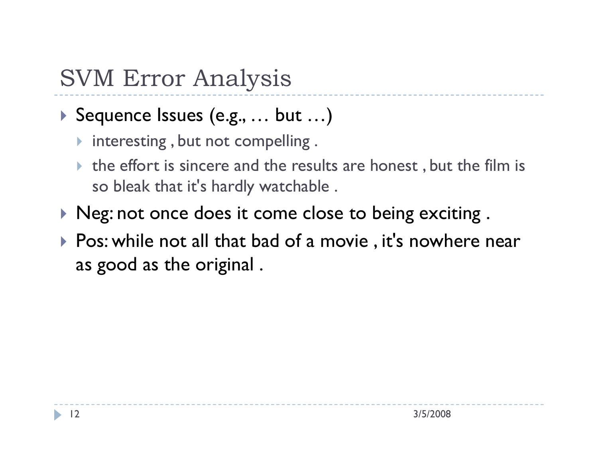## SVM Error Analysis

#### Sequence Issues (e.g., … but …)

- $\blacktriangleright$  interesting, but not compelling.
- $\triangleright$  the effort is sincere and the results are honest, but the film is so bleak that it's hardly watchable .
- $\blacktriangleright$  Neg: not once does it come close to being exciting .
- ▶ Pos: while not all that bad of a movie , it's nowhere near as good as the original .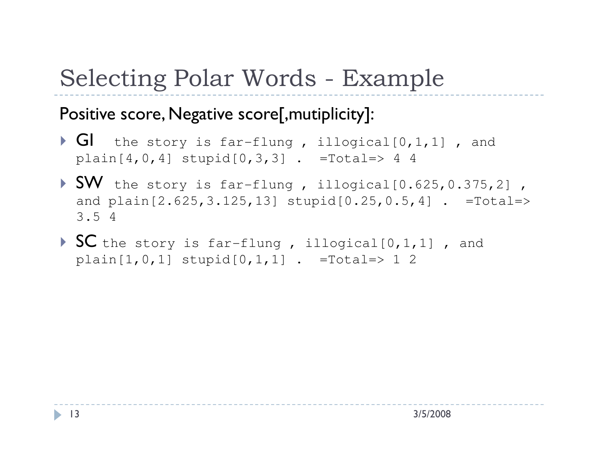# Selecting Polar Words - Example

#### Positive score, Negative score[, mutiplicity]:

- $\blacktriangleright$  GI the story is far-flung, illogical[0,1,1], and  $plain[4,0,4]$  stupid $[0,3,3]$  . =Total=> 4 4
- SW the story is far-flung, illogical[0.625,0.375,2],<br>and plain[2.625,3.125,13] stupid[0.25,0.5,4]. =Total=> and  $plain[2.625,3.125,13]$   $stupid[0.25,0.5,4]$  . =Total=> 3.5 4
- SC the story is far-flung , illogical[0,1,1] , and  $plain[1,0,1]$  stupid $[0,1,1]$  . =Total=> 1 2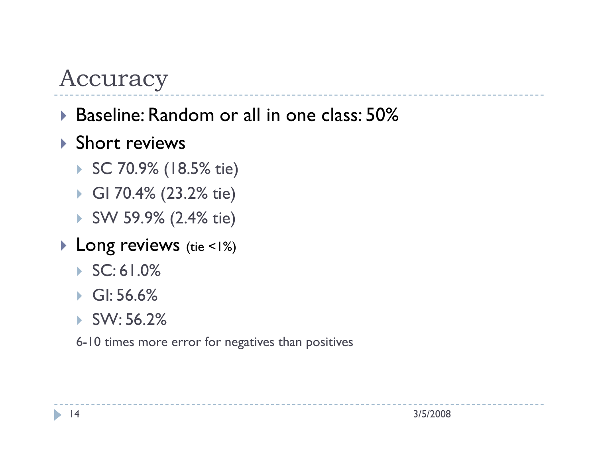#### Accuracy

#### Baseline: Random or all in one class: 50%

#### ▶ Short reviews

- SC 70.9% (18.5% tie)
- GI 70.4% (23.2% tie)
- SW 59.9% (2.4% tie)
- Long reviews (tie <1%)
	- $\triangleright$  SC: 61.0%
	- GI: 56.6%
	- SW: 56.2%

6-10 times more error for negatives than positives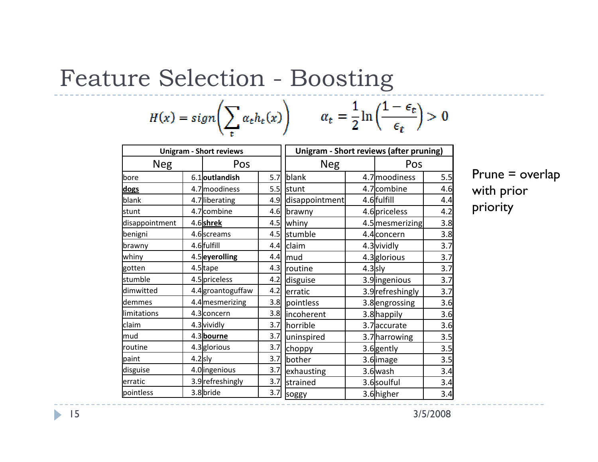## Feature Selection - Boosting

$$
H(x) = sign\left(\sum_{t} \alpha_{t} h_{t}(x)\right) \qquad \alpha_{t} = \frac{1}{2} \ln\left(\frac{1 - \epsilon_{t}}{\epsilon_{t}}\right) > 0
$$

| <b>Unigram - Short reviews</b> |           |                   |     | <b>Unigram - Short reviews (after pruning)</b> |           |                  |     |  |
|--------------------------------|-----------|-------------------|-----|------------------------------------------------|-----------|------------------|-----|--|
| <b>Neg</b>                     |           | Pos               |     | <b>Neg</b>                                     |           | Pos              |     |  |
| bore                           |           | 6.1 outlandish    | 5.7 | blank                                          |           | 4.7 moodiness    | 5.5 |  |
| dogs                           |           | 4.7 moodiness     | 5.5 | stunt                                          |           | 4.7 combine      | 4.6 |  |
| blank                          |           | 4.7 liberating    | 4.9 | disappointment                                 |           | 4.6 fulfill      | 4.4 |  |
| stunt                          |           | 4.7 combine       | 4.6 | brawny                                         |           | 4.6 priceless    | 4.2 |  |
| disappointment                 |           | 4.6shrek          | 4.5 | whiny                                          |           | 4.5 mesmerizing  | 3.8 |  |
| benigni                        |           | 4.6 screams       | 4.5 | stumble                                        |           | 4.4 concern      | 3.8 |  |
| brawny                         |           | 4.6 fulfill       | 4.4 | claim                                          |           | 4.3 vividly      | 3.7 |  |
| whiny                          |           | 4.5 eyerolling    | 4.4 | mud                                            |           | 4.3 glorious     | 3.7 |  |
| gotten                         |           | 4.5 tape          | 4.3 | routine                                        | $4.3$ sly |                  | 3.7 |  |
| stumble                        |           | 4.5 priceless     | 4.2 | disguise                                       |           | 3.9 ingenious    | 3.7 |  |
| dimwitted                      |           | 4.4 groantoguffaw | 4.2 | erratic                                        |           | 3.9 refreshingly | 3.7 |  |
| demmes                         |           | 4.4 mesmerizing   | 3.8 | pointless                                      |           | 3.8 engrossing   | 3.6 |  |
| limitations                    |           | 4.3 concern       | 3.8 | incoherent                                     |           | 3.8 happily      | 3.6 |  |
| claim                          |           | 4.3 vividly       | 3.7 | horrible                                       |           | 3.7 accurate     | 3.6 |  |
| mud                            |           | 4.3 bourne        | 3.7 | uninspired                                     |           | 3.7 harrowing    | 3.5 |  |
| routine                        |           | 4.3 glorious      | 3.7 | choppy                                         |           | 3.6 gently       | 3.5 |  |
| paint                          | $4.2$ sly |                   | 3.7 | bother                                         |           | 3.6 image        | 3.5 |  |
| disguise                       |           | 4.0 ingenious     | 3.7 | exhausting                                     |           | 3.6 wash         | 3.4 |  |
| erratic                        |           | 3.9 refreshingly  | 3.7 | strained                                       |           | 3.6 soulful      | 3.4 |  |
| pointless                      |           | 3.8 bride         | 3.7 | soggy                                          |           | 3.6higher        | 3.4 |  |

Prune = overlap with prior priority

3/5/2008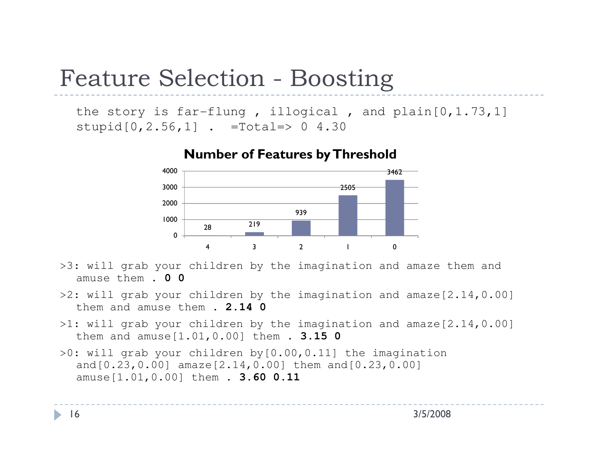### Feature Selection - Boosting

the story is far-flung , illogical , and plain[0,1.73,1] stupid $[0, 2.56, 1]$  . =Total=> 0 4.30



#### Number of Features by Threshold

- >3: will grab your children by the imagination and amaze them and amuse them . **0 0**
- >2: will grab your children by the imagination and amaze[2.14,0.00] them and amuse them . **2.14 0**
- >1: will grab your children by the imagination and amaze[2.14,0.00] them and amuse[1.01,0.00] them . **3.15 0**
- >0: will grab your children by[0.00,0.11] the imagination and[0.23,0.00] amaze[2.14,0.00] them and[0.23,0.00] amuse[1.01,0.00] them . **3.60 0.11**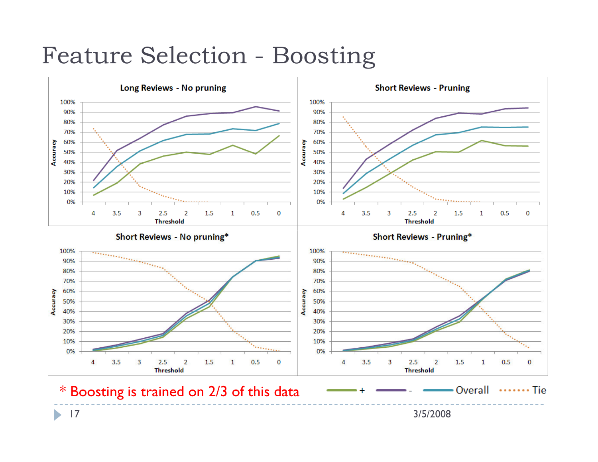#### Feature Selection - Boosting



 $\blacktriangleright$ 17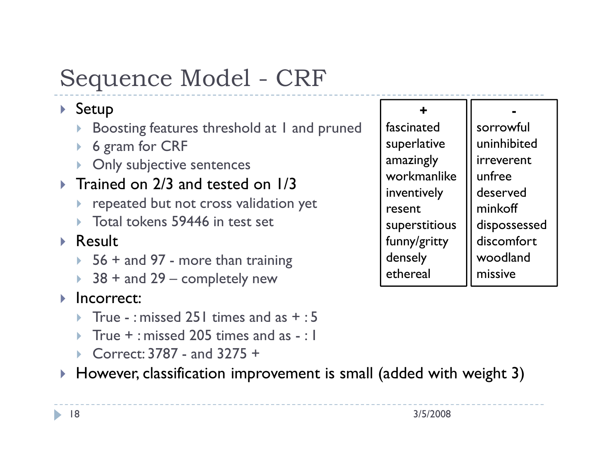# Sequence Model - CRF

#### $\blacktriangleright$  Setup

- Boosting features threshold at 1 and pruned $\blacktriangleright$
- $\blacktriangleright$ 6 gram for CRF
- **Daly subjective sentences**

#### $\blacktriangleright$  Trained on 2/3 and tested on 1/3

- $\blacktriangleright$  repeated but not cross validation yet
- ▶ Total tokens 59446 in test set

#### ▶ Result

- $\rightarrow$  56 + and 97 more than training<br> $\rightarrow$  38 + and 29 completely new
- $\rightarrow$  38 + and 29 completely new<br>Incorrect:
- **Incorrect:** 
	- True : missed 251 times and as  $+$  : 5<br>True + : missed 205 times and as : 1
	- $\blacktriangleright$ True  $+$ : missed 205 times and as  $-$ : 1
	- Correct: 3787 and 3275 +<br>However classification impr
- $\blacktriangleright$   $\;$  However, classification improvement is small (added with weight 3)

+ fascinated superlative amazingly workmanlike inventively resent superstitious funny/gritty densely ethereal

sorrowful uninhibited irreverent unfree deserved minkoffdispossessed discomfort woodland missive